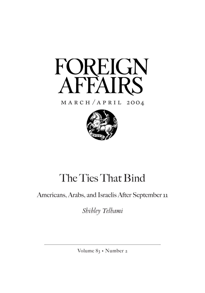

# $M$  A R C H  $/$  A P R I L 2OO4



# The Ties That Bind

# Americans, Arabs, and Israelis After September 11

*Shibley Telhami*

Volume 83 • Number 2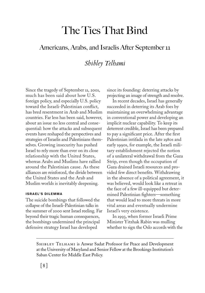# The Ties That Bind

## Americans, Arabs, and Israelis After September 11

## *Shibley Telhami*

Since the tragedy of September 11, 2001, much has been said about how U.S. foreign policy, and especially U.S. policy toward the Israeli-Palestinian conflict, has bred resentment in Arab and Muslim countries. Far less has been said, however, about an issue no less central and consequential: how the attacks and subsequent events have reshaped the perspectives and strategies of Israelis and Palestinians themselves. Growing insecurity has pushed Israel to rely more than ever on its close relationship with the United States, whereas Arabs and Muslims have rallied around the Palestinian cause. As these alliances are reinforced, the divide between the United States and the Arab and Muslim worlds is inevitably deepening.

### **ISRAEL'S DILEMMA**

The suicide bombings that followed the collapse of the Israeli-Palestinian talks in the summer of 2000 sent Israel reeling. Far beyond their tragic human consequences, the bombings undermined the principal defensive strategy Israel has developed

since its founding: deterring attacks by projecting an image of strength and resolve.

In recent decades, Israel has generally succeeded in deterring its Arab foes by maintaining an overwhelming advantage in conventional power and developing an implicit nuclear capability. To keep its deterrent credible, Israel has been prepared to pay a significant price. After the first Palestinian intifada in the late 1980s and early 1990s, for example, the Israeli military establishment rejected the notion of a unilateral withdrawal from the Gaza Strip, even though the occupation of Gaza drained Israeli resources and provided few direct benefits. Withdrawing in the absence of a political agreement, it was believed, would look like a retreat in the face of a few ill-equipped but determined Palestinian fighters—something that would lead to more threats in more vital areas and eventually undermine Israel's very existence.

In 1993, when former Israeli Prime Minister Yitzhak Rabin was mulling whether to sign the Oslo accords with the

SHIBLEY TELHAMI is Anwar Sadat Professor for Peace and Development at the University of Maryland and Senior Fellow at the Brookings Institution's Saban Center for Middle East Policy.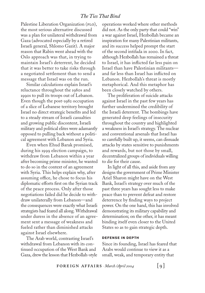### *The Ties That Bind*

Palestine Liberation Organization (PLO), the most serious alternative discussed was a plan for unilateral withdrawal from Gaza (advocated especially by a retired Israeli general, Shlomo Gazit). A major reason that Rabin went ahead with the Oslo approach was that, in trying to maintain Israel's deterrent, he decided that it was better to take risks through a negotiated settlement than to send a message that Israel was on the run.

Similar calculations explain Israel's reluctance throughout the 1980s and 1990s to pull its troops out of Lebanon. Even though the post-1982 occupation of a slice of Lebanese territory brought Israel no direct strategic benefits and led to a steady stream of Israeli casualties and growing public discontent, Israeli military and political elites were adamantly opposed to pulling back without a political agreement with Lebanon and Syria.

Even when Ehud Barak promised, during his 1999 election campaign, to withdraw from Lebanon within a year after becoming prime minister, he wanted to do so in the context of an agreement with Syria. This helps explain why, after assuming office, he chose to focus his diplomatic efforts first on the Syrian track of the peace process. Only after those negotiations failed did he decide to withdraw unilaterally from Lebanon—and the consequences were exactly what Israeli strategists had feared all along. Withdrawal under duress in the absence of an agreement sent a message of weakness and fueled rather than diminished attacks against Israel elsewhere.

The Arab world, contrasting Israel's withdrawal from Lebanon with its continued occupation of the West Bank and Gaza, drew the lesson that Hezbollah-style operations worked where other methods did not. As the only party that could "win" a war against Israel, Hezbollah became an inspiration for many Palestinian militants, and its success helped prompt the start of the second intifada in 2000. In fact, although Hezbollah has remained a threat to Israel, it has inflicted far less pain on Israel than have Palestinian militants and far less than Israel has inflicted on Lebanon. Hezbollah's threat is mostly metaphorical. And this metaphor has been closely watched by others.

The proliferation of suicide attacks against Israel in the past few years has further undermined the credibility of the Israeli deterrent. The bombings have generated deep feelings of insecurity throughout the country and highlighted a weakness in Israel's strategy. The nuclear and conventional arsenals that Israel has so carefully built up, it seems, can dissuade attacks by states sensitive to punishments and rewards, but not those by small, decentralized groups of individuals willing to die for their cause.

In light of all this, and aside from any designs the government of Prime Minister Ariel Sharon might have on the West Bank, Israel's strategy over much of the past three years has sought less to make peace than to prevent defeat and restore deterrence by finding ways to project power. On the one hand, this has involved demonstrating its military capability and determination; on the other, it has meant binding itself even closer to the United States so as to gain strategic depth.

#### **DEFENSE IN DEPTH**

Since its founding, Israel has feared that Arabs would continue to view it as a small, weak, and temporary entity that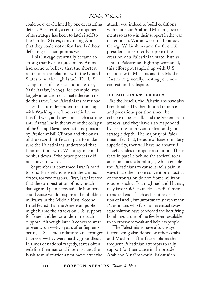## *Shibley Telhami*

could be overwhelmed by one devastating defeat. As a result, a central component of its strategy has been to latch itself to the United States, convincing Arabs that they could not defeat Israel without defeating its champion as well.

This linkage eventually became so strong that by the 1990s many Arabs had come to believe that the shortest route to better relations with the United States went through Israel. The U.S. acceptance of the plo and its leader, Yasir Arafat, in 1993, for example, was largely a function of Israel's decision to do the same. The Palestinians never had a significant independent relationship with Washington. The Israelis knew this full well, and they took such a strong anti-Arafat line in the wake of the collapse of the Camp David negotiations sponsored by President Bill Clinton and the onset of the second intifada in part to make sure the Palestinians understood that their relations with Washington could be shut down if the peace process did not move forward.

September 11 confirmed Israel's need to solidify its relations with the United States, for two reasons. First, Israel feared that the demonstration of how much damage and pain a few suicide bombers could cause would inspire and embolden militants in the Middle East. Second, Israel feared that the American public might blame the attacks on U.S. support for Israel and hence undermine such support. Although Israel's concerns were proven wrong—two years after September 11, U.S.-Israeli relations are stronger than ever—they were hardly groundless. In times of national tragedy, states often redefine their national interests, and the Bush administration's first move after the

attacks was indeed to build coalitions with moderate Arab and Muslim governments so as to win their support in the war on terrorism. Within weeks of the attacks, George W. Bush became the first U.S. president to explicitly support the creation of a Palestinian state. But as Israeli-Palestinian fighting worsened, this effort got tangled up with  $U.S.$ relations with Muslims and the Middle East more generally, creating yet a new context for the dispute.

#### **THE PALESTINIANS' PROBLEM**

Like the Israelis, the Palestinians have also been troubled by their limited resources and precarious position since the collapse of peace talks and the September 11 attacks, and they have also responded by seeking to prevent defeat and gain strategic depth. The majority of Palestinians fear that, because of Israel's military superiority, they will have no answer if Israel decides to impose a solution. These fears in part lie behind the societal tolerance for suicide bombings, which enable the Palestinians to cause Israelis pain in ways that other, more conventional, tactics of confrontation do not. Some militant groups, such as Islamic Jihad and Hamas, may favor suicide attacks as radical means to radical ends (such as the utter destruction of Israel), but unfortunately even many Palestinians who favor an eventual twostate solution have condoned the horrifying bombings as one of the few levers available to an otherwise weak and helpless people.

The Palestinians have also always feared being abandoned by other Arabs and Muslims. This fear explains the frequent Palestinian attempts to rally support for their cause in the broader Arab and Muslim world. Palestinian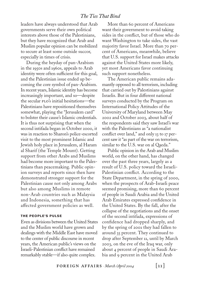## *The Ties That Bind*

leaders have always understood that Arab governments serve their own political interests above those of the Palestinians, but they have recognized that Arab and Muslim popular opinion can be mobilized to secure at least some outside succor, especially in times of crisis.

During the heyday of pan-Arabism in the 1950s and 1960s, appeals to Arab identity were often sufficient for this goal, and the Palestinian issue ended up becoming the core symbol of pan-Arabism. In recent years, Islamic identity has become increasingly important, and so—despite the secular plo's initial hesitations—the Palestinians have repositioned themselves somewhat, playing the "Jerusalem card" to bolster their cause's Islamic credentials. It is thus not surprising that when the second intifada began in October 2000, it was in reaction to Sharon's police-escorted visit to the most prominent Islamic and Jewish holy place in Jerusalem, al Haram al Sharif (the Temple Mount). Getting support from other Arabs and Muslims had become more important to the Palestinians than peacemaking. Public opinion surveys and reports since then have demonstrated stronger support for the Palestinian cause not only among Arabs but also among Muslims in remote non-Arab countries such as Malaysia and Indonesia, something that has affected government policies as well.

#### **THE PEOPLE'S PULSE**

Even as divisions between the United States and the Muslim world have grown and dealings with the Middle East have moved to the center of public discourse in recent years, the American public's views on the Israeli-Palestinian conflict have remained remarkably stable—if also quite complex.

More than 60 percent of Americans want their government to avoid taking sides in the conflict, but of those who do want Washington to take sides, the vast majority favor Israel. More than 70 percent of Americans, meanwhile, believe that U.S. support for Israel makes attacks against the United States more likely, yet most Americans favor continuing such support nonetheless.

The American public remains adamantly opposed to all terrorism, including that carried out by Palestinians against Israelis. But in four different national surveys conducted by the Program on International Policy Attitudes of the University of Maryland between May 2002 and October 2003, about half of the respondents said they saw Israel's war with the Palestinians as "a nationalist conflict over land," and only 13 to 17 percent saw it "as part of the war on terrorism, similar to the U.S. war on al Qaeda."

Public opinion in the Arab and Muslim world, on the other hand, has changed over the past three years, largely as a result of U.S. policy toward the Israeli-Palestinian conflict. According to the State Department, in the spring of 2000, when the prospects of Arab-Israeli peace seemed promising, more than 60 percent of people in Saudi Arabia and the United Arab Emirates expressed confidence in the United States. By the fall, after the collapse of the negotiations and the onset of the second intifada, expressions of confidence had dropped sharply, and by the spring of 2001 they had fallen to around 35 percent. They continued to drop after September 11, until by March 2003, on the eve of the Iraq war, only about 4 percent of people in Saudi Arabia and 9 percent in the United Arab

 $\texttt{FOREIGN AFFAIRS} \cdot \textit{March/April 2004}$  [11]